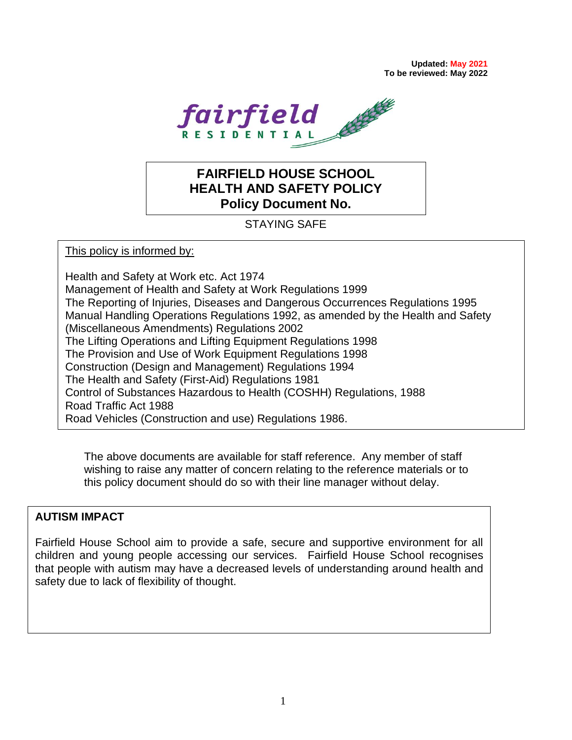**Updated: May 2021 To be reviewed: May 2022**



# **FAIRFIELD HOUSE SCHOOL HEALTH AND SAFETY POLICY Policy Document No.**

## STAYING SAFE

This policy is informed by:

Health and Safety at Work etc. Act 1974 Management of Health and Safety at Work Regulations 1999 The Reporting of Injuries, Diseases and Dangerous Occurrences Regulations 1995 Manual Handling Operations Regulations 1992, as amended by the Health and Safety (Miscellaneous Amendments) Regulations 2002 The Lifting Operations and Lifting Equipment Regulations 1998 The Provision and Use of Work Equipment Regulations 1998 Construction (Design and Management) Regulations 1994 The Health and Safety (First-Aid) Regulations 1981 Control of Substances Hazardous to Health (COSHH) Regulations, 1988 Road Traffic Act 1988 Road Vehicles (Construction and use) Regulations 1986.

The above documents are available for staff reference. Any member of staff wishing to raise any matter of concern relating to the reference materials or to this policy document should do so with their line manager without delay.

#### **AUTISM IMPACT**

.

Fairfield House School aim to provide a safe, secure and supportive environment for all children and young people accessing our services. Fairfield House School recognises that people with autism may have a decreased levels of understanding around health and safety due to lack of flexibility of thought.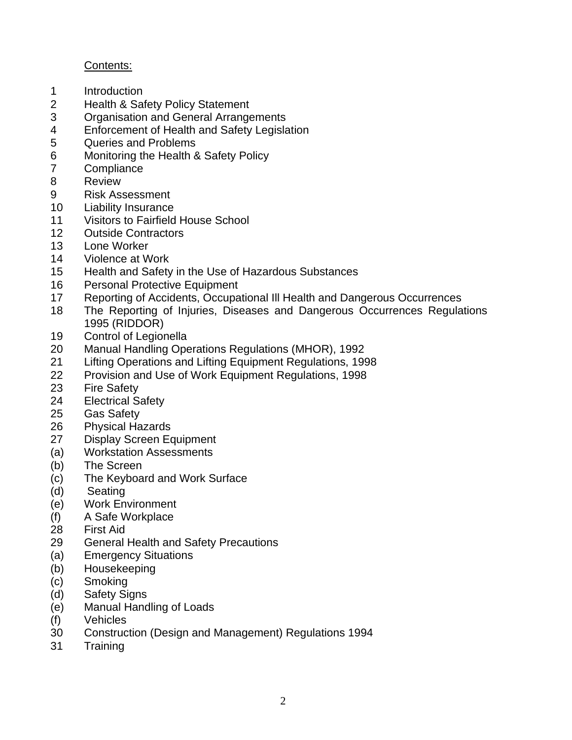## Contents:

- Introduction
- Health & Safety Policy Statement
- Organisation and General Arrangements
- Enforcement of Health and Safety Legislation
- Queries and Problems
- Monitoring the Health & Safety Policy
- Compliance
- Review
- Risk Assessment
- Liability Insurance
- Visitors to Fairfield House School
- Outside Contractors
- Lone Worker
- Violence at Work
- Health and Safety in the Use of Hazardous Substances
- Personal Protective Equipment
- Reporting of Accidents, Occupational Ill Health and Dangerous Occurrences
- The Reporting of Injuries, Diseases and Dangerous Occurrences Regulations 1995 (RIDDOR)
- Control of Legionella
- Manual Handling Operations Regulations (MHOR), 1992
- Lifting Operations and Lifting Equipment Regulations, 1998
- Provision and Use of Work Equipment Regulations, 1998
- Fire Safety
- Electrical Safety
- Gas Safety
- Physical Hazards
- Display Screen Equipment
- (a) Workstation Assessments
- (b) The Screen
- (c) The Keyboard and Work Surface
- (d) Seating
- (e) Work Environment
- (f) A Safe Workplace
- First Aid
- General Health and Safety Precautions
- (a) Emergency Situations
- (b) Housekeeping
- (c) Smoking
- (d) Safety Signs
- (e) Manual Handling of Loads
- (f) Vehicles
- Construction (Design and Management) Regulations 1994
- Training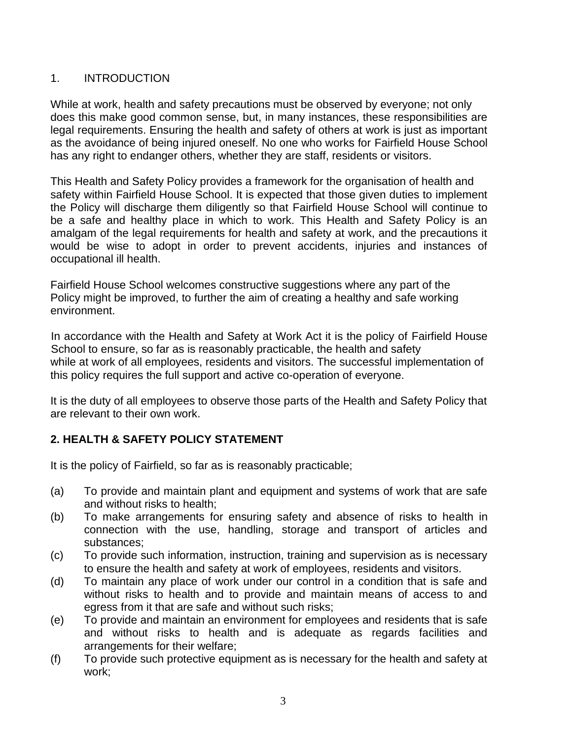## 1. INTRODUCTION

While at work, health and safety precautions must be observed by everyone; not only does this make good common sense, but, in many instances, these responsibilities are legal requirements. Ensuring the health and safety of others at work is just as important as the avoidance of being injured oneself. No one who works for Fairfield House School has any right to endanger others, whether they are staff, residents or visitors.

This Health and Safety Policy provides a framework for the organisation of health and safety within Fairfield House School. It is expected that those given duties to implement the Policy will discharge them diligently so that Fairfield House School will continue to be a safe and healthy place in which to work. This Health and Safety Policy is an amalgam of the legal requirements for health and safety at work, and the precautions it would be wise to adopt in order to prevent accidents, injuries and instances of occupational ill health.

Fairfield House School welcomes constructive suggestions where any part of the Policy might be improved, to further the aim of creating a healthy and safe working environment.

In accordance with the Health and Safety at Work Act it is the policy of Fairfield House School to ensure, so far as is reasonably practicable, the health and safety while at work of all employees, residents and visitors. The successful implementation of this policy requires the full support and active co-operation of everyone.

It is the duty of all employees to observe those parts of the Health and Safety Policy that are relevant to their own work.

## **2. HEALTH & SAFETY POLICY STATEMENT**

It is the policy of Fairfield, so far as is reasonably practicable;

- (a) To provide and maintain plant and equipment and systems of work that are safe and without risks to health;
- (b) To make arrangements for ensuring safety and absence of risks to health in connection with the use, handling, storage and transport of articles and substances;
- (c) To provide such information, instruction, training and supervision as is necessary to ensure the health and safety at work of employees, residents and visitors.
- (d) To maintain any place of work under our control in a condition that is safe and without risks to health and to provide and maintain means of access to and egress from it that are safe and without such risks;
- (e) To provide and maintain an environment for employees and residents that is safe and without risks to health and is adequate as regards facilities and arrangements for their welfare;
- (f) To provide such protective equipment as is necessary for the health and safety at work;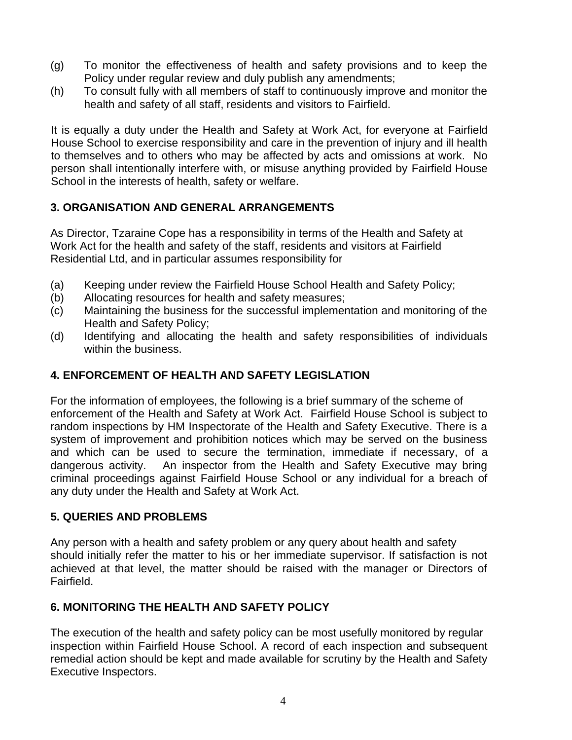- (g) To monitor the effectiveness of health and safety provisions and to keep the Policy under regular review and duly publish any amendments;
- (h) To consult fully with all members of staff to continuously improve and monitor the health and safety of all staff, residents and visitors to Fairfield.

It is equally a duty under the Health and Safety at Work Act, for everyone at Fairfield House School to exercise responsibility and care in the prevention of injury and ill health to themselves and to others who may be affected by acts and omissions at work. No person shall intentionally interfere with, or misuse anything provided by Fairfield House School in the interests of health, safety or welfare.

## **3. ORGANISATION AND GENERAL ARRANGEMENTS**

As Director, Tzaraine Cope has a responsibility in terms of the Health and Safety at Work Act for the health and safety of the staff, residents and visitors at Fairfield Residential Ltd, and in particular assumes responsibility for

- (a) Keeping under review the Fairfield House School Health and Safety Policy;
- (b) Allocating resources for health and safety measures;
- (c) Maintaining the business for the successful implementation and monitoring of the Health and Safety Policy;
- (d) Identifying and allocating the health and safety responsibilities of individuals within the business.

## **4. ENFORCEMENT OF HEALTH AND SAFETY LEGISLATION**

For the information of employees, the following is a brief summary of the scheme of enforcement of the Health and Safety at Work Act. Fairfield House School is subject to random inspections by HM Inspectorate of the Health and Safety Executive. There is a system of improvement and prohibition notices which may be served on the business and which can be used to secure the termination, immediate if necessary, of a dangerous activity. An inspector from the Health and Safety Executive may bring criminal proceedings against Fairfield House School or any individual for a breach of any duty under the Health and Safety at Work Act.

## **5. QUERIES AND PROBLEMS**

Any person with a health and safety problem or any query about health and safety should initially refer the matter to his or her immediate supervisor. If satisfaction is not achieved at that level, the matter should be raised with the manager or Directors of Fairfield.

## **6. MONITORING THE HEALTH AND SAFETY POLICY**

The execution of the health and safety policy can be most usefully monitored by regular inspection within Fairfield House School. A record of each inspection and subsequent remedial action should be kept and made available for scrutiny by the Health and Safety Executive Inspectors.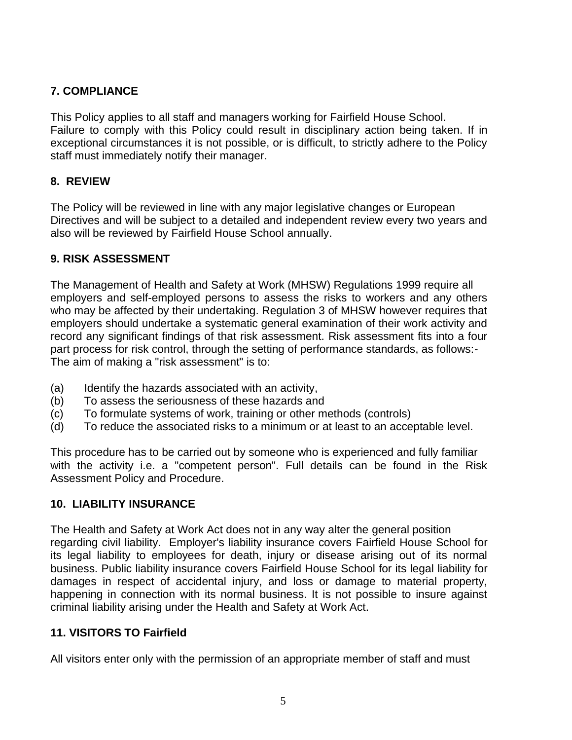## **7. COMPLIANCE**

This Policy applies to all staff and managers working for Fairfield House School. Failure to comply with this Policy could result in disciplinary action being taken. If in exceptional circumstances it is not possible, or is difficult, to strictly adhere to the Policy staff must immediately notify their manager.

#### **8. REVIEW**

The Policy will be reviewed in line with any major legislative changes or European Directives and will be subject to a detailed and independent review every two years and also will be reviewed by Fairfield House School annually.

## **9. RISK ASSESSMENT**

The Management of Health and Safety at Work (MHSW) Regulations 1999 require all employers and self-employed persons to assess the risks to workers and any others who may be affected by their undertaking. Regulation 3 of MHSW however requires that employers should undertake a systematic general examination of their work activity and record any significant findings of that risk assessment. Risk assessment fits into a four part process for risk control, through the setting of performance standards, as follows:- The aim of making a "risk assessment" is to:

- (a) Identify the hazards associated with an activity,
- (b) To assess the seriousness of these hazards and
- (c) To formulate systems of work, training or other methods (controls)
- (d) To reduce the associated risks to a minimum or at least to an acceptable level.

This procedure has to be carried out by someone who is experienced and fully familiar with the activity i.e. a "competent person". Full details can be found in the Risk Assessment Policy and Procedure.

## **10. LIABILITY INSURANCE**

The Health and Safety at Work Act does not in any way alter the general position regarding civil liability. Employer's liability insurance covers Fairfield House School for its legal liability to employees for death, injury or disease arising out of its normal business. Public liability insurance covers Fairfield House School for its legal liability for damages in respect of accidental injury, and loss or damage to material property, happening in connection with its normal business. It is not possible to insure against criminal liability arising under the Health and Safety at Work Act.

## **11. VISITORS TO Fairfield**

All visitors enter only with the permission of an appropriate member of staff and must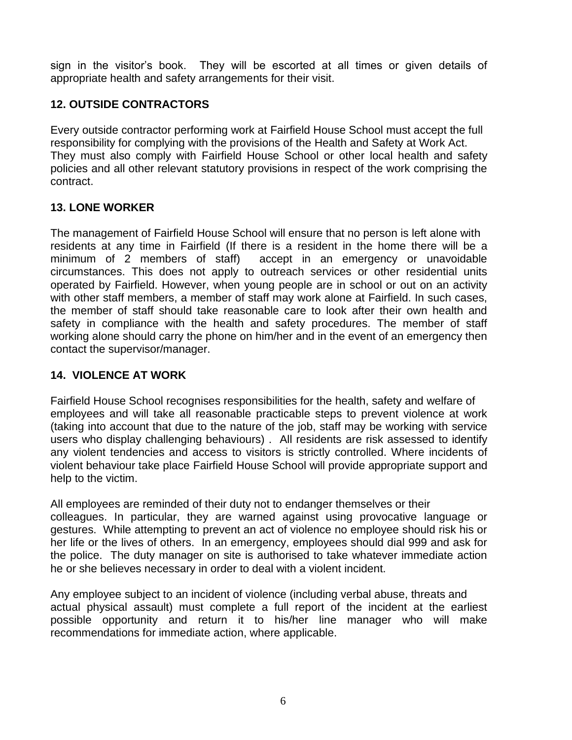sign in the visitor's book. They will be escorted at all times or given details of appropriate health and safety arrangements for their visit.

## **12. OUTSIDE CONTRACTORS**

Every outside contractor performing work at Fairfield House School must accept the full responsibility for complying with the provisions of the Health and Safety at Work Act. They must also comply with Fairfield House School or other local health and safety policies and all other relevant statutory provisions in respect of the work comprising the contract.

## **13. LONE WORKER**

The management of Fairfield House School will ensure that no person is left alone with residents at any time in Fairfield (If there is a resident in the home there will be a minimum of 2 members of staff) accept in an emergency or unavoidable circumstances. This does not apply to outreach services or other residential units operated by Fairfield. However, when young people are in school or out on an activity with other staff members, a member of staff may work alone at Fairfield. In such cases, the member of staff should take reasonable care to look after their own health and safety in compliance with the health and safety procedures. The member of staff working alone should carry the phone on him/her and in the event of an emergency then contact the supervisor/manager.

## **14. VIOLENCE AT WORK**

Fairfield House School recognises responsibilities for the health, safety and welfare of employees and will take all reasonable practicable steps to prevent violence at work (taking into account that due to the nature of the job, staff may be working with service users who display challenging behaviours) . All residents are risk assessed to identify any violent tendencies and access to visitors is strictly controlled. Where incidents of violent behaviour take place Fairfield House School will provide appropriate support and help to the victim.

All employees are reminded of their duty not to endanger themselves or their colleagues. In particular, they are warned against using provocative language or gestures. While attempting to prevent an act of violence no employee should risk his or her life or the lives of others. In an emergency, employees should dial 999 and ask for the police. The duty manager on site is authorised to take whatever immediate action he or she believes necessary in order to deal with a violent incident.

Any employee subject to an incident of violence (including verbal abuse, threats and actual physical assault) must complete a full report of the incident at the earliest possible opportunity and return it to his/her line manager who will make recommendations for immediate action, where applicable.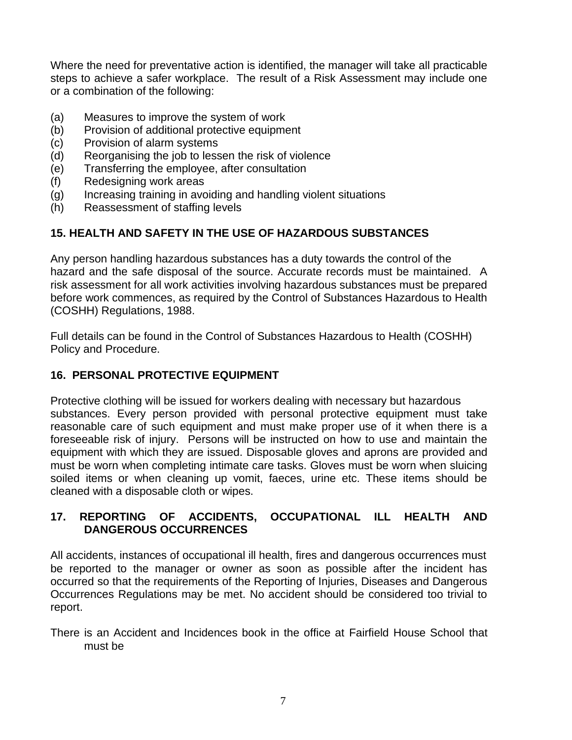Where the need for preventative action is identified, the manager will take all practicable steps to achieve a safer workplace. The result of a Risk Assessment may include one or a combination of the following:

- (a) Measures to improve the system of work
- (b) Provision of additional protective equipment
- (c) Provision of alarm systems
- (d) Reorganising the job to lessen the risk of violence
- (e) Transferring the employee, after consultation
- (f) Redesigning work areas
- (g) Increasing training in avoiding and handling violent situations
- (h) Reassessment of staffing levels

## **15. HEALTH AND SAFETY IN THE USE OF HAZARDOUS SUBSTANCES**

Any person handling hazardous substances has a duty towards the control of the hazard and the safe disposal of the source. Accurate records must be maintained. A risk assessment for all work activities involving hazardous substances must be prepared before work commences, as required by the Control of Substances Hazardous to Health (COSHH) Regulations, 1988.

Full details can be found in the Control of Substances Hazardous to Health (COSHH) Policy and Procedure.

#### **16. PERSONAL PROTECTIVE EQUIPMENT**

Protective clothing will be issued for workers dealing with necessary but hazardous substances. Every person provided with personal protective equipment must take reasonable care of such equipment and must make proper use of it when there is a foreseeable risk of injury. Persons will be instructed on how to use and maintain the equipment with which they are issued. Disposable gloves and aprons are provided and must be worn when completing intimate care tasks. Gloves must be worn when sluicing soiled items or when cleaning up vomit, faeces, urine etc. These items should be cleaned with a disposable cloth or wipes.

## **17. REPORTING OF ACCIDENTS, OCCUPATIONAL ILL HEALTH AND DANGEROUS OCCURRENCES**

All accidents, instances of occupational ill health, fires and dangerous occurrences must be reported to the manager or owner as soon as possible after the incident has occurred so that the requirements of the Reporting of Injuries, Diseases and Dangerous Occurrences Regulations may be met. No accident should be considered too trivial to report.

There is an Accident and Incidences book in the office at Fairfield House School that must be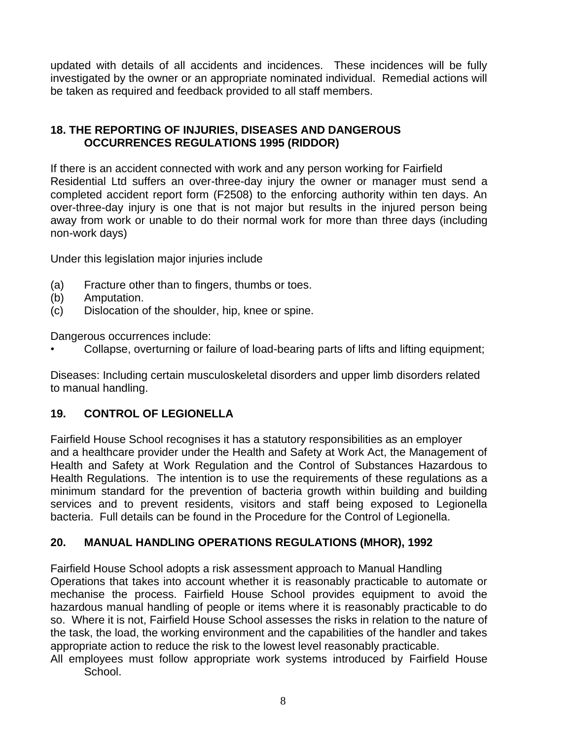updated with details of all accidents and incidences. These incidences will be fully investigated by the owner or an appropriate nominated individual. Remedial actions will be taken as required and feedback provided to all staff members.

## **18. THE REPORTING OF INJURIES, DISEASES AND DANGEROUS OCCURRENCES REGULATIONS 1995 (RIDDOR)**

If there is an accident connected with work and any person working for Fairfield Residential Ltd suffers an over-three-day injury the owner or manager must send a completed accident report form (F2508) to the enforcing authority within ten days. An over-three-day injury is one that is not major but results in the injured person being away from work or unable to do their normal work for more than three days (including non-work days)

Under this legislation major injuries include

- (a) Fracture other than to fingers, thumbs or toes.
- (b) Amputation.
- (c) Dislocation of the shoulder, hip, knee or spine.

Dangerous occurrences include:

• Collapse, overturning or failure of load-bearing parts of lifts and lifting equipment;

Diseases: Including certain musculoskeletal disorders and upper limb disorders related to manual handling.

## **19. CONTROL OF LEGIONELLA**

Fairfield House School recognises it has a statutory responsibilities as an employer and a healthcare provider under the Health and Safety at Work Act, the Management of Health and Safety at Work Regulation and the Control of Substances Hazardous to Health Regulations. The intention is to use the requirements of these regulations as a minimum standard for the prevention of bacteria growth within building and building services and to prevent residents, visitors and staff being exposed to Legionella bacteria. Full details can be found in the Procedure for the Control of Legionella.

## **20. MANUAL HANDLING OPERATIONS REGULATIONS (MHOR), 1992**

Fairfield House School adopts a risk assessment approach to Manual Handling Operations that takes into account whether it is reasonably practicable to automate or mechanise the process. Fairfield House School provides equipment to avoid the hazardous manual handling of people or items where it is reasonably practicable to do so. Where it is not, Fairfield House School assesses the risks in relation to the nature of the task, the load, the working environment and the capabilities of the handler and takes appropriate action to reduce the risk to the lowest level reasonably practicable.

All employees must follow appropriate work systems introduced by Fairfield House School.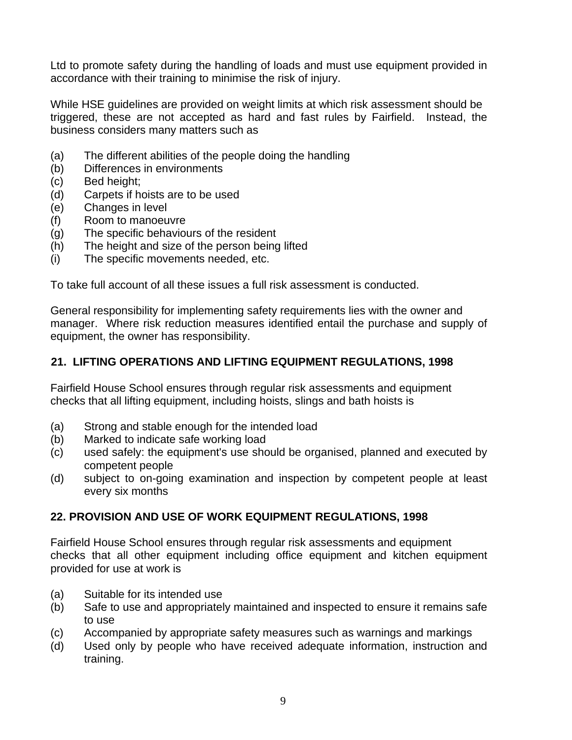Ltd to promote safety during the handling of loads and must use equipment provided in accordance with their training to minimise the risk of injury.

While HSE guidelines are provided on weight limits at which risk assessment should be triggered, these are not accepted as hard and fast rules by Fairfield. Instead, the business considers many matters such as

- (a) The different abilities of the people doing the handling
- (b) Differences in environments
- (c) Bed height;
- (d) Carpets if hoists are to be used
- (e) Changes in level
- (f) Room to manoeuvre
- (g) The specific behaviours of the resident
- (h) The height and size of the person being lifted
- (i) The specific movements needed, etc.

To take full account of all these issues a full risk assessment is conducted.

General responsibility for implementing safety requirements lies with the owner and manager. Where risk reduction measures identified entail the purchase and supply of equipment, the owner has responsibility.

## **21. LIFTING OPERATIONS AND LIFTING EQUIPMENT REGULATIONS, 1998**

Fairfield House School ensures through regular risk assessments and equipment checks that all lifting equipment, including hoists, slings and bath hoists is

- (a) Strong and stable enough for the intended load
- (b) Marked to indicate safe working load
- (c) used safely: the equipment's use should be organised, planned and executed by competent people
- (d) subject to on-going examination and inspection by competent people at least every six months

## **22. PROVISION AND USE OF WORK EQUIPMENT REGULATIONS, 1998**

Fairfield House School ensures through regular risk assessments and equipment checks that all other equipment including office equipment and kitchen equipment provided for use at work is

- (a) Suitable for its intended use
- (b) Safe to use and appropriately maintained and inspected to ensure it remains safe to use
- (c) Accompanied by appropriate safety measures such as warnings and markings
- (d) Used only by people who have received adequate information, instruction and training.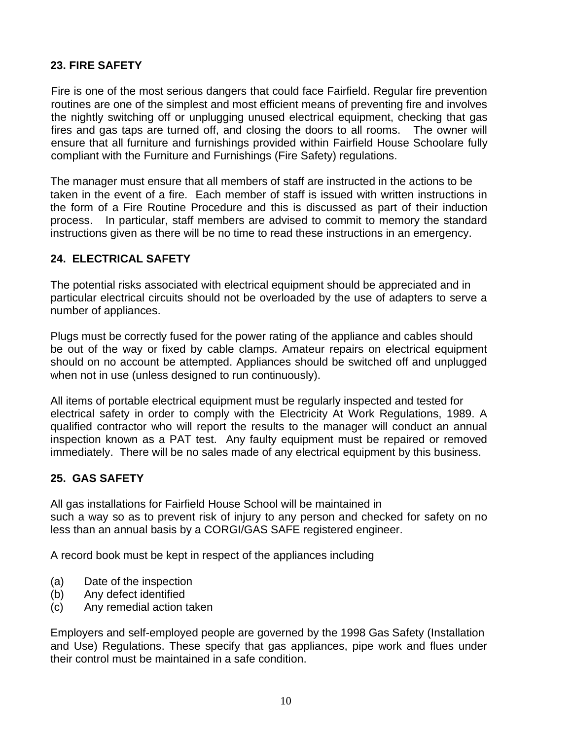## **23. FIRE SAFETY**

Fire is one of the most serious dangers that could face Fairfield. Regular fire prevention routines are one of the simplest and most efficient means of preventing fire and involves the nightly switching off or unplugging unused electrical equipment, checking that gas fires and gas taps are turned off, and closing the doors to all rooms. The owner will ensure that all furniture and furnishings provided within Fairfield House Schoolare fully compliant with the Furniture and Furnishings (Fire Safety) regulations.

The manager must ensure that all members of staff are instructed in the actions to be taken in the event of a fire. Each member of staff is issued with written instructions in the form of a Fire Routine Procedure and this is discussed as part of their induction process. In particular, staff members are advised to commit to memory the standard instructions given as there will be no time to read these instructions in an emergency.

## **24. ELECTRICAL SAFETY**

The potential risks associated with electrical equipment should be appreciated and in particular electrical circuits should not be overloaded by the use of adapters to serve a number of appliances.

Plugs must be correctly fused for the power rating of the appliance and cables should be out of the way or fixed by cable clamps. Amateur repairs on electrical equipment should on no account be attempted. Appliances should be switched off and unplugged when not in use (unless designed to run continuously).

All items of portable electrical equipment must be regularly inspected and tested for electrical safety in order to comply with the Electricity At Work Regulations, 1989. A qualified contractor who will report the results to the manager will conduct an annual inspection known as a PAT test. Any faulty equipment must be repaired or removed immediately. There will be no sales made of any electrical equipment by this business.

## **25. GAS SAFETY**

All gas installations for Fairfield House School will be maintained in such a way so as to prevent risk of injury to any person and checked for safety on no less than an annual basis by a CORGI/GAS SAFE registered engineer.

A record book must be kept in respect of the appliances including

- (a) Date of the inspection
- (b) Any defect identified
- (c) Any remedial action taken

Employers and self-employed people are governed by the 1998 Gas Safety (Installation and Use) Regulations. These specify that gas appliances, pipe work and flues under their control must be maintained in a safe condition.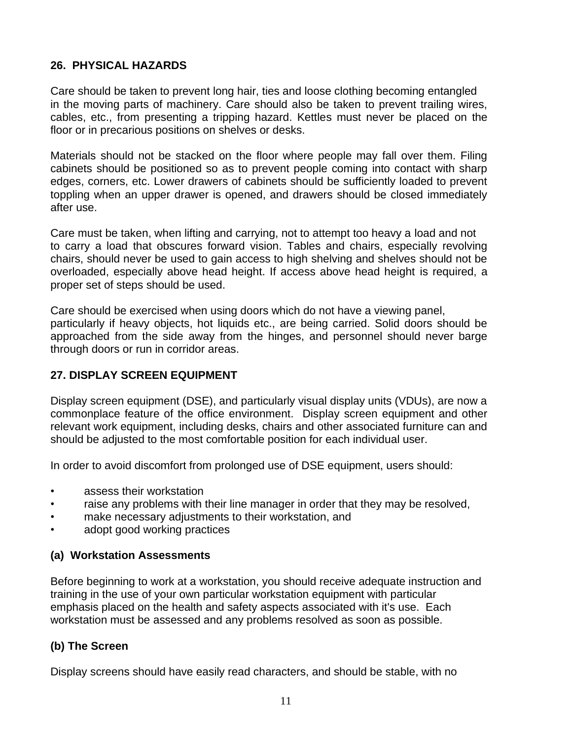## **26. PHYSICAL HAZARDS**

Care should be taken to prevent long hair, ties and loose clothing becoming entangled in the moving parts of machinery. Care should also be taken to prevent trailing wires, cables, etc., from presenting a tripping hazard. Kettles must never be placed on the floor or in precarious positions on shelves or desks.

Materials should not be stacked on the floor where people may fall over them. Filing cabinets should be positioned so as to prevent people coming into contact with sharp edges, corners, etc. Lower drawers of cabinets should be sufficiently loaded to prevent toppling when an upper drawer is opened, and drawers should be closed immediately after use.

Care must be taken, when lifting and carrying, not to attempt too heavy a load and not to carry a load that obscures forward vision. Tables and chairs, especially revolving chairs, should never be used to gain access to high shelving and shelves should not be overloaded, especially above head height. If access above head height is required, a proper set of steps should be used.

Care should be exercised when using doors which do not have a viewing panel, particularly if heavy objects, hot liquids etc., are being carried. Solid doors should be approached from the side away from the hinges, and personnel should never barge through doors or run in corridor areas.

#### **27. DISPLAY SCREEN EQUIPMENT**

Display screen equipment (DSE), and particularly visual display units (VDUs), are now a commonplace feature of the office environment. Display screen equipment and other relevant work equipment, including desks, chairs and other associated furniture can and should be adjusted to the most comfortable position for each individual user.

In order to avoid discomfort from prolonged use of DSE equipment, users should:

- assess their workstation
- raise any problems with their line manager in order that they may be resolved,
- make necessary adjustments to their workstation, and
- adopt good working practices

#### **(a) Workstation Assessments**

Before beginning to work at a workstation, you should receive adequate instruction and training in the use of your own particular workstation equipment with particular emphasis placed on the health and safety aspects associated with it's use. Each workstation must be assessed and any problems resolved as soon as possible.

#### **(b) The Screen**

Display screens should have easily read characters, and should be stable, with no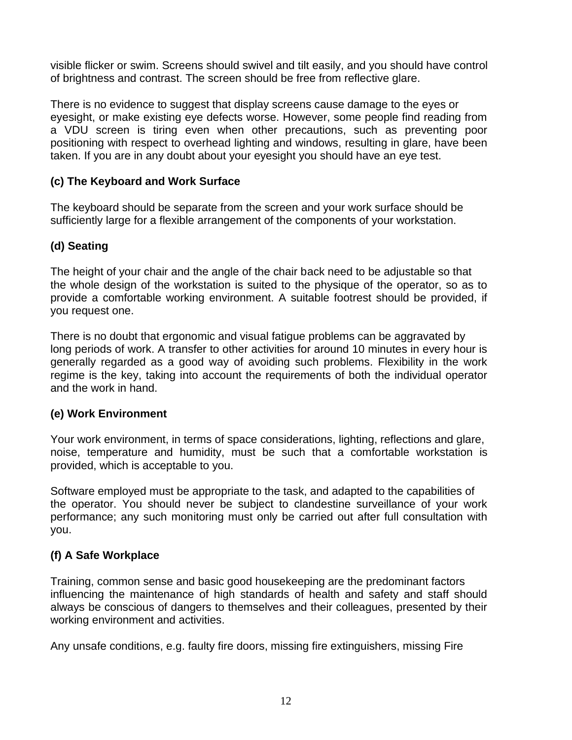visible flicker or swim. Screens should swivel and tilt easily, and you should have control of brightness and contrast. The screen should be free from reflective glare.

There is no evidence to suggest that display screens cause damage to the eyes or eyesight, or make existing eye defects worse. However, some people find reading from a VDU screen is tiring even when other precautions, such as preventing poor positioning with respect to overhead lighting and windows, resulting in glare, have been taken. If you are in any doubt about your eyesight you should have an eye test.

## **(c) The Keyboard and Work Surface**

The keyboard should be separate from the screen and your work surface should be sufficiently large for a flexible arrangement of the components of your workstation.

## **(d) Seating**

The height of your chair and the angle of the chair back need to be adjustable so that the whole design of the workstation is suited to the physique of the operator, so as to provide a comfortable working environment. A suitable footrest should be provided, if you request one.

There is no doubt that ergonomic and visual fatigue problems can be aggravated by long periods of work. A transfer to other activities for around 10 minutes in every hour is generally regarded as a good way of avoiding such problems. Flexibility in the work regime is the key, taking into account the requirements of both the individual operator and the work in hand.

## **(e) Work Environment**

Your work environment, in terms of space considerations, lighting, reflections and glare, noise, temperature and humidity, must be such that a comfortable workstation is provided, which is acceptable to you.

Software employed must be appropriate to the task, and adapted to the capabilities of the operator. You should never be subject to clandestine surveillance of your work performance; any such monitoring must only be carried out after full consultation with you.

## **(f) A Safe Workplace**

Training, common sense and basic good housekeeping are the predominant factors influencing the maintenance of high standards of health and safety and staff should always be conscious of dangers to themselves and their colleagues, presented by their working environment and activities.

Any unsafe conditions, e.g. faulty fire doors, missing fire extinguishers, missing Fire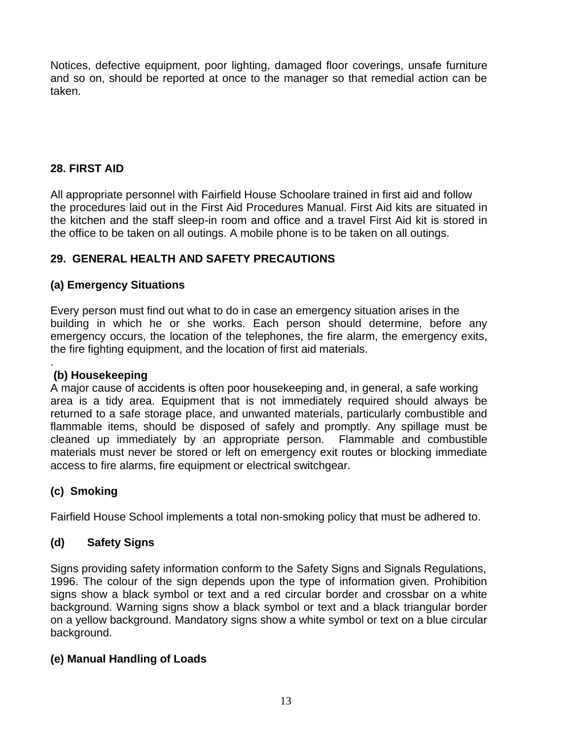Notices, defective equipment, poor lighting, damaged floor coverings, unsafe furniture and so on, should be reported at once to the manager so that remedial action can be taken.

## **28. FIRST AID**

All appropriate personnel with Fairfield House Schoolare trained in first aid and follow the procedures laid out in the First Aid Procedures Manual. First Aid kits are situated in the kitchen and the staff sleep-in room and office and a travel First Aid kit is stored in the office to be taken on all outings. A mobile phone is to be taken on all outings.

## **29. GENERAL HEALTH AND SAFETY PRECAUTIONS**

## **(a) Emergency Situations**

Every person must find out what to do in case an emergency situation arises in the building in which he or she works. Each person should determine, before any emergency occurs, the location of the telephones, the fire alarm, the emergency exits, the fire fighting equipment, and the location of first aid materials.

#### . **(b) Housekeeping**

A major cause of accidents is often poor housekeeping and, in general, a safe working area is a tidy area. Equipment that is not immediately required should always be returned to a safe storage place, and unwanted materials, particularly combustible and flammable items, should be disposed of safely and promptly. Any spillage must be cleaned up immediately by an appropriate person. Flammable and combustible materials must never be stored or left on emergency exit routes or blocking immediate access to fire alarms, fire equipment or electrical switchgear.

## **(c) Smoking**

Fairfield House School implements a total non-smoking policy that must be adhered to.

## **(d) Safety Signs**

Signs providing safety information conform to the Safety Signs and Signals Regulations, 1996. The colour of the sign depends upon the type of information given. Prohibition signs show a black symbol or text and a red circular border and crossbar on a white background. Warning signs show a black symbol or text and a black triangular border on a yellow background. Mandatory signs show a white symbol or text on a blue circular background.

## **(e) Manual Handling of Loads**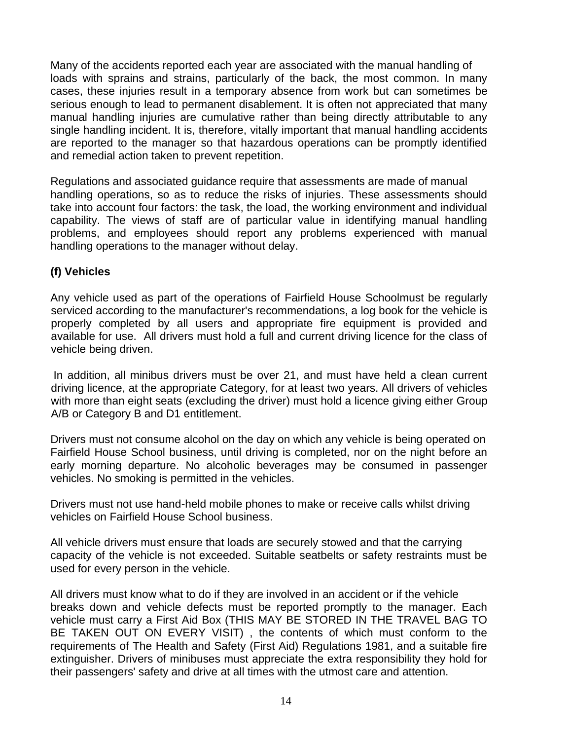Many of the accidents reported each year are associated with the manual handling of loads with sprains and strains, particularly of the back, the most common. In many cases, these injuries result in a temporary absence from work but can sometimes be serious enough to lead to permanent disablement. It is often not appreciated that many manual handling injuries are cumulative rather than being directly attributable to any single handling incident. It is, therefore, vitally important that manual handling accidents are reported to the manager so that hazardous operations can be promptly identified and remedial action taken to prevent repetition.

Regulations and associated guidance require that assessments are made of manual handling operations, so as to reduce the risks of injuries. These assessments should take into account four factors: the task, the load, the working environment and individual capability. The views of staff are of particular value in identifying manual handling problems, and employees should report any problems experienced with manual handling operations to the manager without delay.

## **(f) Vehicles**

Any vehicle used as part of the operations of Fairfield House Schoolmust be regularly serviced according to the manufacturer's recommendations, a log book for the vehicle is properly completed by all users and appropriate fire equipment is provided and available for use. All drivers must hold a full and current driving licence for the class of vehicle being driven.

In addition, all minibus drivers must be over 21, and must have held a clean current driving licence, at the appropriate Category, for at least two years. All drivers of vehicles with more than eight seats (excluding the driver) must hold a licence giving either Group A/B or Category B and D1 entitlement.

Drivers must not consume alcohol on the day on which any vehicle is being operated on Fairfield House School business, until driving is completed, nor on the night before an early morning departure. No alcoholic beverages may be consumed in passenger vehicles. No smoking is permitted in the vehicles.

Drivers must not use hand-held mobile phones to make or receive calls whilst driving vehicles on Fairfield House School business.

All vehicle drivers must ensure that loads are securely stowed and that the carrying capacity of the vehicle is not exceeded. Suitable seatbelts or safety restraints must be used for every person in the vehicle.

All drivers must know what to do if they are involved in an accident or if the vehicle breaks down and vehicle defects must be reported promptly to the manager. Each vehicle must carry a First Aid Box (THIS MAY BE STORED IN THE TRAVEL BAG TO BE TAKEN OUT ON EVERY VISIT) , the contents of which must conform to the requirements of The Health and Safety (First Aid) Regulations 1981, and a suitable fire extinguisher. Drivers of minibuses must appreciate the extra responsibility they hold for their passengers' safety and drive at all times with the utmost care and attention.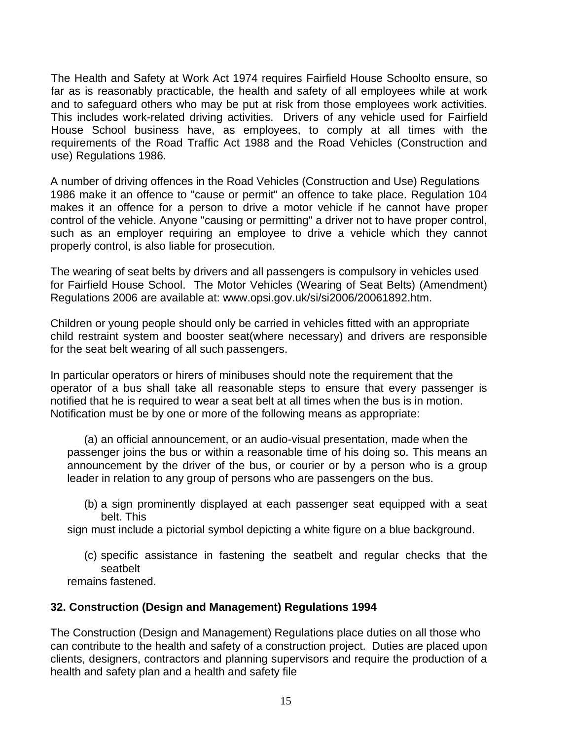The Health and Safety at Work Act 1974 requires Fairfield House Schoolto ensure, so far as is reasonably practicable, the health and safety of all employees while at work and to safeguard others who may be put at risk from those employees work activities. This includes work-related driving activities. Drivers of any vehicle used for Fairfield House School business have, as employees, to comply at all times with the requirements of the Road Traffic Act 1988 and the Road Vehicles (Construction and use) Regulations 1986.

A number of driving offences in the Road Vehicles (Construction and Use) Regulations 1986 make it an offence to "cause or permit" an offence to take place. Regulation 104 makes it an offence for a person to drive a motor vehicle if he cannot have proper control of the vehicle. Anyone "causing or permitting" a driver not to have proper control, such as an employer requiring an employee to drive a vehicle which they cannot properly control, is also liable for prosecution.

The wearing of seat belts by drivers and all passengers is compulsory in vehicles used for Fairfield House School. The Motor Vehicles (Wearing of Seat Belts) (Amendment) Regulations 2006 are available at: www.opsi.gov.uk/si/si2006/20061892.htm.

Children or young people should only be carried in vehicles fitted with an appropriate child restraint system and booster seat(where necessary) and drivers are responsible for the seat belt wearing of all such passengers.

In particular operators or hirers of minibuses should note the requirement that the operator of a bus shall take all reasonable steps to ensure that every passenger is notified that he is required to wear a seat belt at all times when the bus is in motion. Notification must be by one or more of the following means as appropriate:

(a) an official announcement, or an audio-visual presentation, made when the passenger joins the bus or within a reasonable time of his doing so. This means an announcement by the driver of the bus, or courier or by a person who is a group leader in relation to any group of persons who are passengers on the bus.

(b) a sign prominently displayed at each passenger seat equipped with a seat belt. This

sign must include a pictorial symbol depicting a white figure on a blue background.

(c) specific assistance in fastening the seatbelt and regular checks that the seatbelt

remains fastened.

## **32. Construction (Design and Management) Regulations 1994**

The Construction (Design and Management) Regulations place duties on all those who can contribute to the health and safety of a construction project. Duties are placed upon clients, designers, contractors and planning supervisors and require the production of a health and safety plan and a health and safety file